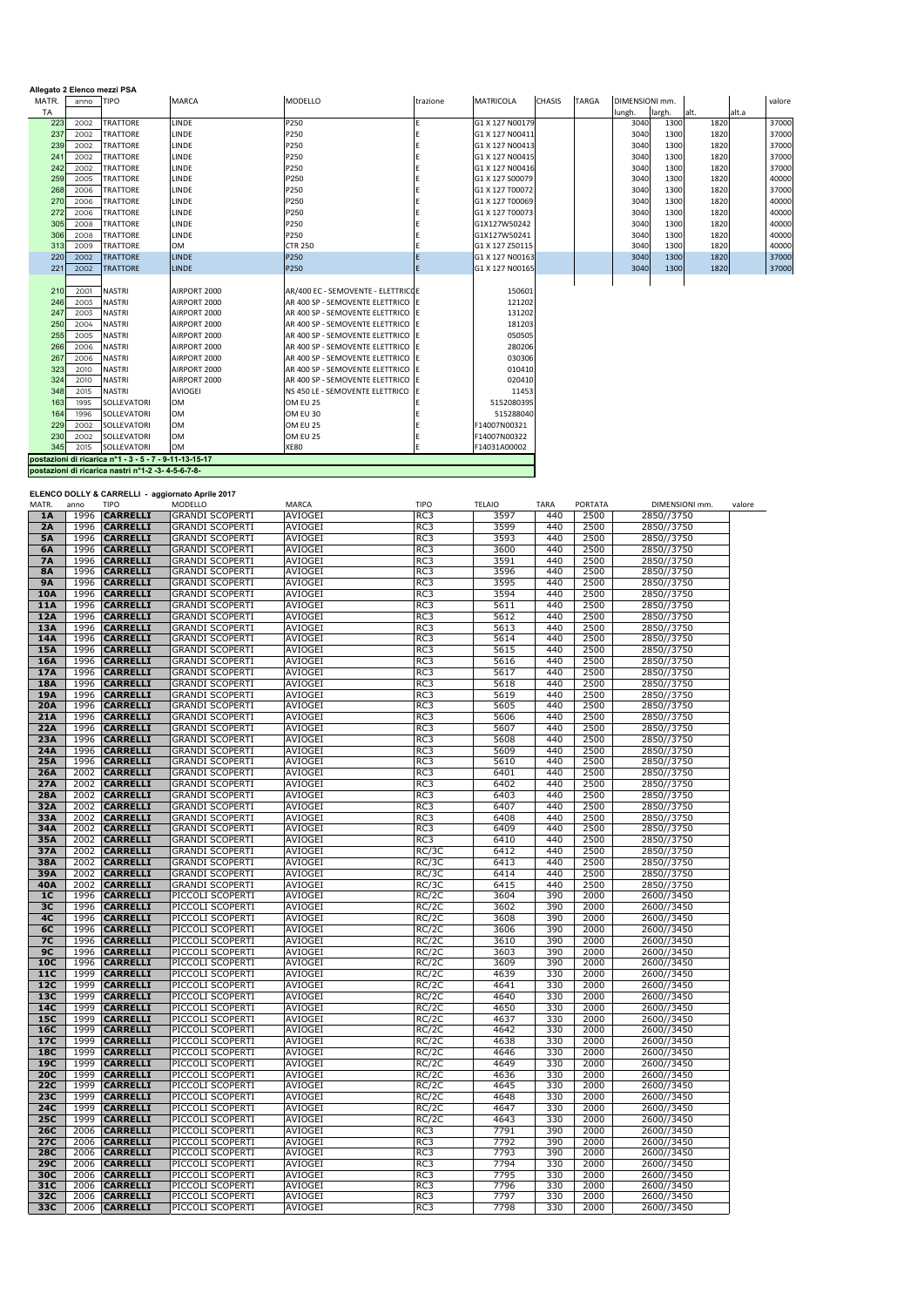| Allegato 2 Elenco mezzi PSA |      |                                                        |                |                                    |          |                  |               |              |                |        |      |       |        |
|-----------------------------|------|--------------------------------------------------------|----------------|------------------------------------|----------|------------------|---------------|--------------|----------------|--------|------|-------|--------|
| MATR.                       | anno | <b>TIPO</b>                                            | <b>MARCA</b>   | <b>MODELLO</b>                     | trazione | <b>MATRICOLA</b> | <b>CHASIS</b> | <b>TARGA</b> | DIMENSIONI mm. |        |      |       | valore |
| TA                          |      |                                                        |                |                                    |          |                  |               |              | lungh.         | largh. | alt. | alt.a |        |
| 223                         | 2002 | <b>TRATTORE</b>                                        | LINDE          | P250                               |          | G1 X 127 N00179  |               |              | 3040           | 1300   | 1820 |       | 37000  |
| 237                         | 2002 | <b>TRATTORE</b>                                        | <b>LINDE</b>   | P250                               |          | G1 X 127 N00411  |               |              | 3040           | 1300   | 1820 |       | 37000  |
| 239                         | 2002 | <b>TRATTORE</b>                                        | <b>LINDE</b>   | P250                               |          | G1 X 127 N00413  |               |              | 3040           | 1300   | 1820 |       | 37000  |
| 24                          | 2002 | <b>TRATTORE</b>                                        | <b>LINDE</b>   | P250                               |          | G1 X 127 N00415  |               |              | 3040           | 1300   | 1820 |       | 37000  |
| 242                         | 2002 | <b>TRATTORE</b>                                        | <b>LINDE</b>   | P250                               |          | G1 X 127 N00416  |               |              | 3040           | 1300   | 1820 |       | 37000  |
| 259                         | 2005 | <b>TRATTORE</b>                                        | <b>LINDE</b>   | P250                               |          | G1 X 127 S00079  |               |              | 3040           | 1300   | 1820 |       | 40000  |
| 268                         | 2006 | <b>TRATTORE</b>                                        | LINDE          | P250                               |          | G1 X 127 T00072  |               |              | 3040           | 1300   | 1820 |       | 37000  |
| 270                         | 2006 | <b>TRATTORE</b>                                        | LINDE          | P250                               |          | G1 X 127 T00069  |               |              | 3040           | 1300   | 1820 |       | 40000  |
| 272                         | 2006 | <b>TRATTORE</b>                                        | LINDE          | P250                               |          | G1 X 127 T00073  |               |              | 3040           | 1300   | 1820 |       | 40000  |
| 305                         | 2008 | <b>TRATTORE</b>                                        | <b>LINDE</b>   | P250                               |          | G1X127W50242     |               |              | 3040           | 1300   | 1820 |       | 40000  |
| 306                         | 2008 | <b>TRATTORE</b>                                        | <b>LINDE</b>   | P250                               |          | G1X127W50241     |               |              | 3040           | 1300   | 1820 |       | 40000  |
| 313                         | 2009 | <b>TRATTORE</b>                                        | <b>OM</b>      | <b>CTR 250</b>                     |          | G1 X 127 Z50115  |               |              | 3040           | 1300   | 1820 |       | 40000  |
| 220                         | 2002 | <b>TRATTORE</b>                                        | <b>LINDE</b>   | P250                               |          | G1 X 127 N00163  |               |              | 3040           | 1300   | 1820 |       | 37000  |
| 221                         | 2002 | <b>TRATTORE</b>                                        | <b>LINDE</b>   | P250                               |          | G1 X 127 N00165  |               |              | 3040           | 1300   | 1820 |       | 37000  |
|                             |      |                                                        |                |                                    |          |                  |               |              |                |        |      |       |        |
| 210                         | 2001 | <b>NASTRI</b>                                          | AIRPORT 2000   | AR/400 EC - SEMOVENTE - ELETTRICOE |          | 150601           |               |              |                |        |      |       |        |
| 246                         | 2003 | <b>NASTRI</b>                                          | AIRPORT 2000   | AR 400 SP - SEMOVENTE ELETTRICO    |          | 121202           |               |              |                |        |      |       |        |
| 247                         | 2003 | <b>NASTRI</b>                                          | AIRPORT 2000   | AR 400 SP - SEMOVENTE ELETTRICO LE |          | 131202           |               |              |                |        |      |       |        |
| 250                         | 2004 | <b>NASTRI</b>                                          | AIRPORT 2000   | AR 400 SP - SEMOVENTE ELETTRICO E  |          | 181203           |               |              |                |        |      |       |        |
| 255                         | 2005 | <b>NASTRI</b>                                          | AIRPORT 2000   | AR 400 SP - SEMOVENTE ELETTRICO E  |          | 050505           |               |              |                |        |      |       |        |
| 266                         | 2006 | <b>NASTRI</b>                                          | AIRPORT 2000   | AR 400 SP - SEMOVENTE ELETTRICO    | -lF      | 280206           |               |              |                |        |      |       |        |
| 267                         | 2006 | <b>NASTRI</b>                                          | AIRPORT 2000   | AR 400 SP - SEMOVENTE ELETTRICO E  |          | 030306           |               |              |                |        |      |       |        |
| 323                         | 2010 | <b>NASTRI</b>                                          | AIRPORT 2000   | AR 400 SP - SEMOVENTE ELETTRICO E  |          | 010410           |               |              |                |        |      |       |        |
| 324                         | 2010 | <b>NASTRI</b>                                          | AIRPORT 2000   | AR 400 SP - SEMOVENTE ELETTRICO    | IE       | 020410           |               |              |                |        |      |       |        |
| 348                         | 2015 | <b>NASTRI</b>                                          | <b>AVIOGEI</b> | NS 450 LE - SEMOVENTE ELETTRICO    |          | 11453            |               |              |                |        |      |       |        |
| 163                         | 1995 | SOLLEVATORI                                            | <b>OM</b>      | OM EU 25                           |          | 5152080395       |               |              |                |        |      |       |        |
| 164                         | 1996 | SOLLEVATORI                                            | <b>OM</b>      | OM EU 30                           |          | 515288040        |               |              |                |        |      |       |        |
| 229                         | 2002 | SOLLEVATORI                                            | <b>OM</b>      | OM EU 25                           |          | F14007N00321     |               |              |                |        |      |       |        |
| 230                         | 2002 | <b>SOLLEVATORI</b>                                     | <b>OM</b>      | OM EU 25                           |          | F14007N00322     |               |              |                |        |      |       |        |
| 345                         | 2015 | SOLLEVATORI                                            | OM             | <b>XE80</b>                        |          | F14031A00002     |               |              |                |        |      |       |        |
|                             |      | postazioni di ricarica n°1 - 3 - 5 - 7 - 9-11-13-15-17 |                |                                    |          |                  |               |              |                |        |      |       |        |
|                             |      | postazioni di ricarica nastri nº1-2 -3- 4-5-6-7-8-     |                |                                    |          |                  |               |              |                |        |      |       |        |

**ELENCO DOLLY & CARRELLI - aggiornato Aprile 2017**

| MATR.          | anno | <b>TIPO</b>     | MODELLO                | MARCA          | TIPO            | <b>TELAIO</b> | <b>TARA</b> | PORTATA | DIMENSIONI mm. | valore |
|----------------|------|-----------------|------------------------|----------------|-----------------|---------------|-------------|---------|----------------|--------|
| 1A             | 1996 | <b>CARRELLI</b> | <b>GRANDI SCOPERTI</b> | <b>AVIOGEI</b> | RC3             | 3597          | 440         | 2500    | 2850//3750     |        |
| 2A             | 1996 | <b>CARRELLI</b> | <b>GRANDI SCOPERTI</b> | AVIOGEI        | RC3             | 3599          | 440         | 2500    | 2850//3750     |        |
| <b>5A</b>      | 1996 | <b>CARRELLI</b> | <b>GRANDI SCOPERTI</b> | AVIOGEI        | RC3             | 3593          | 440         | 2500    | 2850//3750     |        |
| 6A             | 1996 | <b>CARRELLI</b> | <b>GRANDI SCOPERTI</b> | <b>AVIOGEI</b> | RC3             | 3600          | 440         | 2500    | 2850//3750     |        |
| <b>7A</b>      | 1996 | <b>CARRELLI</b> | <b>GRANDI SCOPERTI</b> | AVIOGEI        | RC3             | 3591          | 440         | 2500    | 2850//3750     |        |
| <b>8A</b>      | 1996 | <b>CARRELLI</b> | <b>GRANDI SCOPERTI</b> | AVIOGEI        | RC3             | 3596          | 440         | 2500    | 2850//3750     |        |
| <b>9A</b>      | 1996 | <b>CARRELLI</b> | <b>GRANDI SCOPERTI</b> | <b>AVIOGEI</b> | RC3             | 3595          | 440         | 2500    | 2850//3750     |        |
| <b>10A</b>     | 1996 | <b>CARRELLI</b> | <b>GRANDI SCOPERTI</b> | AVIOGEI        | RC3             | 3594          | 440         | 2500    | 2850//3750     |        |
| 11A            | 1996 | <b>CARRELLI</b> | <b>GRANDI SCOPERTI</b> |                | RC3             |               | 440         | 2500    |                |        |
|                |      |                 |                        | AVIOGEI        |                 | 5611          |             |         | 2850//3750     |        |
| 12A            | 1996 | <b>CARRELLI</b> | <b>GRANDI SCOPERTI</b> | AVIOGEI        | RC3             | 5612          | 440         | 2500    | 2850//3750     |        |
| 13A            | 1996 | <b>CARRELLI</b> | <b>GRANDI SCOPERTI</b> | AVIOGEI        | RC <sub>3</sub> | 5613          | 440         | 2500    | 2850//3750     |        |
| 14A            | 1996 | <b>CARRELLI</b> | <b>GRANDI SCOPERTI</b> | <b>AVIOGEI</b> | RC3             | 5614          | 440         | 2500    | 2850//3750     |        |
| 15A            | 1996 | <b>CARRELLI</b> | <b>GRANDI SCOPERTI</b> | AVIOGEI        | RC3             | 5615          | 440         | 2500    | 2850//3750     |        |
| 16A            | 1996 | <b>CARRELLI</b> | <b>GRANDI SCOPERTI</b> | AVIOGEI        | RC3             | 5616          | 440         | 2500    | 2850//3750     |        |
| 17A            | 1996 | <b>CARRELLI</b> | <b>GRANDI SCOPERTI</b> | AVIOGEI        | RC3             | 5617          | 440         | 2500    | 2850//3750     |        |
| <b>18A</b>     | 1996 | <b>CARRELLI</b> | <b>GRANDI SCOPERTI</b> | AVIOGEI        | RC3             | 5618          | 440         | 2500    | 2850//3750     |        |
| 19A            | 1996 | <b>CARRELLI</b> | <b>GRANDI SCOPERTI</b> | AVIOGEI        | RC3             | 5619          | 440         | 2500    | 2850//3750     |        |
| 20A            | 1996 | <b>CARRELLI</b> | <b>GRANDI SCOPERTI</b> | AVIOGEI        | RC3             | 5605          | 440         | 2500    | 2850//3750     |        |
| 21A            | 1996 | <b>CARRELLI</b> | <b>GRANDI SCOPERTI</b> | AVIOGEI        | RC3             | 5606          | 440         | 2500    | 2850//3750     |        |
| 22A            | 1996 | <b>CARRELLI</b> | <b>GRANDI SCOPERTI</b> | AVIOGEI        | RC3             | 5607          | 440         | 2500    | 2850//3750     |        |
| 23A            | 1996 | <b>CARRELLI</b> | <b>GRANDI SCOPERTI</b> | AVIOGEI        | RC3             | 5608          | 440         | 2500    | 2850//3750     |        |
| 24A            | 1996 | <b>CARRELLI</b> | <b>GRANDI SCOPERTI</b> | <b>AVIOGEI</b> | RC3             | 5609          | 440         | 2500    | 2850//3750     |        |
| 25A            | 1996 | <b>CARRELLI</b> | <b>GRANDI SCOPERTI</b> | AVIOGEI        | RC3             | 5610          | 440         | 2500    | 2850//3750     |        |
| 26A            | 2002 | <b>CARRELLI</b> | <b>GRANDI SCOPERTI</b> | <b>AVIOGEI</b> | RC3             | 6401          | 440         | 2500    | 2850//3750     |        |
| 27A            | 2002 | <b>CARRELLI</b> | <b>GRANDI SCOPERTI</b> | AVIOGEI        | RC3             | 6402          | 440         | 2500    | 2850//3750     |        |
| <b>28A</b>     | 2002 | <b>CARRELLI</b> | <b>GRANDI SCOPERTI</b> | AVIOGEI        | RC3             | 6403          | 440         | 2500    | 2850//3750     |        |
| 32A            | 2002 | <b>CARRELLI</b> | GRANDI SCOPERTI        | AVIOGEI        | RC3             | 6407          | 440         | 2500    | 2850//3750     |        |
| 33A            | 2002 | <b>CARRELLI</b> | <b>GRANDI SCOPERTI</b> | <b>AVIOGEI</b> | RC3             | 6408          | 440         | 2500    | 2850//3750     |        |
| 34A            | 2002 | <b>CARRELLI</b> | <b>GRANDI SCOPERTI</b> | AVIOGEI        | RC3             | 6409          | 440         | 2500    | 2850//3750     |        |
| 35A            | 2002 | <b>CARRELLI</b> | <b>GRANDI SCOPERTI</b> | <b>AVIOGEI</b> | RC3             | 6410          | 440         | 2500    | 2850//3750     |        |
| 37A            | 2002 | <b>CARRELLI</b> | <b>GRANDI SCOPERTI</b> | <b>AVIOGEI</b> | RC/3C           | 6412          | 440         | 2500    | 2850//3750     |        |
| 38A            | 2002 | <b>CARRELLI</b> | <b>GRANDI SCOPERTI</b> | <b>AVIOGEI</b> | RC/3C           | 6413          | 440         | 2500    | 2850//3750     |        |
| 39A            | 2002 | <b>CARRELLI</b> | <b>GRANDI SCOPERTI</b> | <b>AVIOGEI</b> | RC/3C           | 6414          | 440         | 2500    | 2850//3750     |        |
| <b>40A</b>     | 2002 | <b>CARRELLI</b> | <b>GRANDI SCOPERTI</b> | AVIOGEI        | RC/3C           | 6415          | 440         | 2500    | 2850//3750     |        |
| 1 <sub>C</sub> | 1996 | <b>CARRELLI</b> | PICCOLI SCOPERTI       | AVIOGEI        | RC/2C           | 3604          | 390         | 2000    | 2600//3450     |        |
| 3C             | 1996 | <b>CARRELLI</b> | PICCOLI SCOPERTI       | <b>AVIOGEI</b> | RC/2C           | 3602          | 390         | 2000    | 2600//3450     |        |
| 4C             | 1996 | <b>CARRELLI</b> | PICCOLI SCOPERTI       | AVIOGEI        | RC/2C           | 3608          | 390         | 2000    | 2600//3450     |        |
| 6C             | 1996 | <b>CARRELLI</b> | PICCOLI SCOPERTI       | AVIOGEI        | RC/2C           | 3606          | 390         | 2000    | 2600//3450     |        |
| <b>7C</b>      | 1996 | <b>CARRELLI</b> | PICCOLI SCOPERTI       | AVIOGEI        | RC/2C           | 3610          | 390         | 2000    | 2600//3450     |        |
| 9C             | 1996 | <b>CARRELLI</b> | PICCOLI SCOPERTI       | AVIOGEI        | RC/2C           | 3603          | 390         | 2000    | 2600//3450     |        |
| 10C            | 1996 | <b>CARRELLI</b> | PICCOLI SCOPERTI       | AVIOGEI        | RC/2C           | 3609          | 390         | 2000    | 2600//3450     |        |
| 11C            | 1999 | <b>CARRELLI</b> | PICCOLI SCOPERTI       | <b>AVIOGEI</b> | RC/2C           | 4639          | 330         | 2000    | 2600//3450     |        |
| 12C            | 1999 | <b>CARRELLI</b> | PICCOLI SCOPERTI       | AVIOGEI        | RC/2C           | 4641          | 330         | 2000    | 2600//3450     |        |
| 13C            | 1999 | <b>CARRELLI</b> | PICCOLI SCOPERTI       | AVIOGEI        | RC/2C           | 4640          | 330         | 2000    | 2600//3450     |        |
| 14C            | 1999 | <b>CARRELLI</b> | PICCOLI SCOPERTI       | AVIOGEI        | RC/2C           | 4650          | 330         | 2000    | 2600//3450     |        |
| 15C            | 1999 | <b>CARRELLI</b> | PICCOLI SCOPERTI       | AVIOGEI        | RC/2C           | 4637          | 330         | 2000    | 2600//3450     |        |
| 16C            | 1999 | <b>CARRELLI</b> | PICCOLI SCOPERTI       | AVIOGEI        | RC/2C           | 4642          | 330         | 2000    | 2600//3450     |        |
| 17C            | 1999 | <b>CARRELLI</b> | PICCOLI SCOPERTI       | AVIOGEI        | RC/2C           | 4638          | 330         | 2000    | 2600//3450     |        |
| 18C            | 1999 | <b>CARRELLI</b> | PICCOLI SCOPERTI       | AVIOGEI        | RC/2C           | 4646          | 330         | 2000    | 2600//3450     |        |
| 19C            | 1999 | <b>CARRELLI</b> | PICCOLI SCOPERTI       | AVIOGEI        | RC/2C           | 4649          | 330         | 2000    | 2600//3450     |        |
| 20C            | 1999 | <b>CARRELLI</b> | PICCOLI SCOPERTI       | <b>AVIOGEI</b> | RC/2C           | 4636          | 330         | 2000    | 2600//3450     |        |
| 22C            | 1999 | <b>CARRELLI</b> | PICCOLI SCOPERTI       | AVIOGEI        | RC/2C           | 4645          | 330         | 2000    | 2600//3450     |        |
| 23C            | 1999 | <b>CARRELLI</b> | PICCOLI SCOPERTI       | AVIOGEI        | RC/2C           | 4648          | 330         | 2000    | 2600//3450     |        |
|                | 1999 |                 |                        |                |                 |               |             |         |                |        |
| 24C<br>25C     |      | <b>CARRELLI</b> | PICCOLI SCOPERTI       | AVIOGEI        | RC/2C           | 4647          | 330         | 2000    | 2600//3450     |        |
|                | 1999 | <b>CARRELLI</b> | PICCOLI SCOPERTI       | <b>AVIOGEI</b> | RC/2C           | 4643          | 330         | 2000    | 2600//3450     |        |
| 26C            | 2006 | <b>CARRELLI</b> | PICCOLI SCOPERTI       | AVIOGEI        | RC3             | 7791          | 390         | 2000    | 2600//3450     |        |
| 27C            | 2006 | <b>CARRELLI</b> | PICCOLI SCOPERTI       | <b>AVIOGEI</b> | RC3             | 7792          | 390         | 2000    | 2600//3450     |        |
| <b>28C</b>     | 2006 | <b>CARRELLI</b> | PICCOLI SCOPERTI       | AVIOGEI        | RC3             | 7793          | 390         | 2000    | 2600//3450     |        |
| 29C            | 2006 | <b>CARRELLI</b> | PICCOLI SCOPERTI       | AVIOGEI        | RC3             | 7794          | 330         | 2000    | 2600//3450     |        |
| 30C            | 2006 | <b>CARRELLI</b> | PICCOLI SCOPERTI       | AVIOGEI        | RC3             | 7795          | 330         | 2000    | 2600//3450     |        |
| 31C            | 2006 | <b>CARRELLI</b> | PICCOLI SCOPERTI       | AVIOGEI        | RC3             | 7796          | 330         | 2000    | 2600//3450     |        |
| 32C            | 2006 | <b>CARRELLI</b> | PICCOLI SCOPERTI       | AVIOGEI        | RC3             | 7797          | 330         | 2000    | 2600//3450     |        |
| 33C            | 2006 | <b>CARRELLI</b> | PICCOLI SCOPERTI       | AVIOGEI        | RC3             | 7798          | 330         | 2000    | 2600//3450     |        |